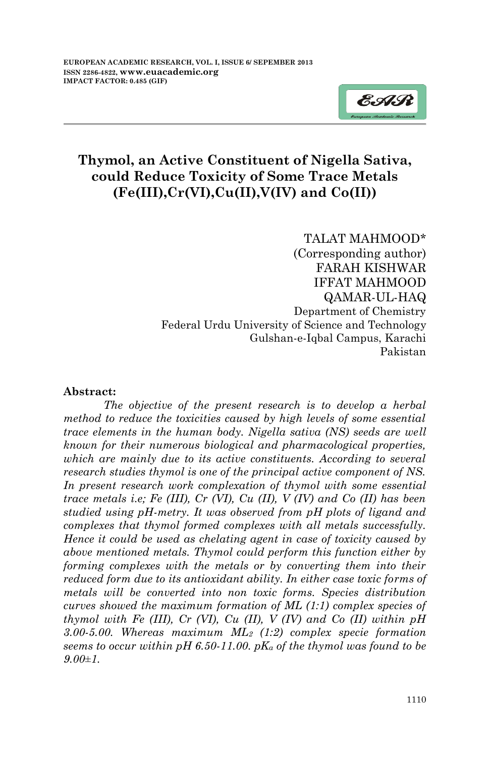

# **Thymol, an Active Constituent of Nigella Sativa, could Reduce Toxicity of Some Trace Metals (Fe(III),Cr(VI),Cu(II),V(IV) and Co(II))**

TALAT MAHMOOD\* (Corresponding author) FARAH KISHWAR IFFAT MAHMOOD QAMAR-UL-HAQ Department of Chemistry Federal Urdu University of Science and Technology Gulshan-e-Iqbal Campus, Karachi Pakistan

#### **Abstract:**

*The objective of the present research is to develop a herbal method to reduce the toxicities caused by high levels of some essential trace elements in the human body. Nigella sativa (NS) seeds are well known for their numerous biological and pharmacological properties, which are mainly due to its active constituents. According to several research studies thymol is one of the principal active component of NS. In present research work complexation of thymol with some essential trace metals i.e; Fe (III), Cr (VI), Cu (II), V (IV) and Co (II) has been studied using pH-metry. It was observed from pH plots of ligand and complexes that thymol formed complexes with all metals successfully. Hence it could be used as chelating agent in case of toxicity caused by above mentioned metals. Thymol could perform this function either by forming complexes with the metals or by converting them into their reduced form due to its antioxidant ability. In either case toxic forms of metals will be converted into non toxic forms. Species distribution curves showed the maximum formation of ML (1:1) complex species of thymol with Fe (III), Cr (VI), Cu (II), V (IV) and Co (II) within pH 3.00-5.00. Whereas maximum ML<sup>2</sup> (1:2) complex specie formation seems to occur within pH 6.50-11.00. pK<sup>a</sup> of the thymol was found to be 9.00±1.*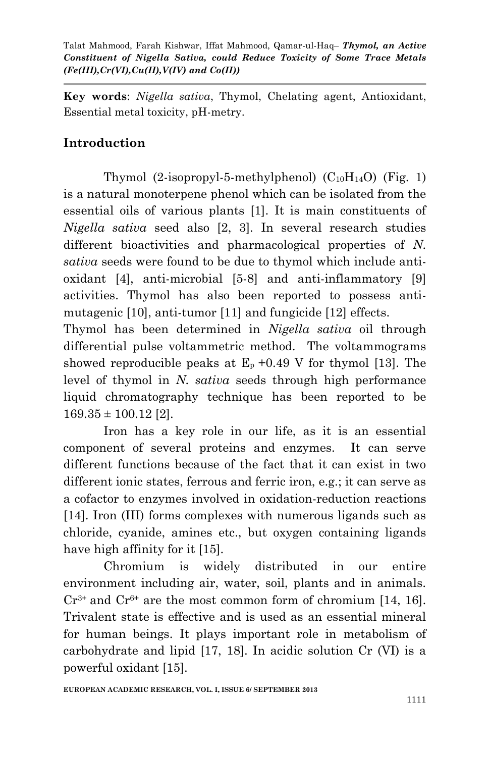**Key words**: *Nigella sativa*, Thymol, Chelating agent, Antioxidant, Essential metal toxicity, pH-metry.

# **Introduction**

Thymol  $(2-isoprovl-5-methylphenol)$   $(C_{10}H_{14}O)$  (Fig. 1) is a natural monoterpene phenol which can be isolated from the essential oils of various plants [1]. It is main constituents of *Nigella sativa* seed also [2, 3]. In several research studies different bioactivities and pharmacological properties of *N. sativa* seeds were found to be due to thymol which include antioxidant [4], anti-microbial [5-8] and anti-inflammatory [9] activities. Thymol has also been reported to possess antimutagenic [10], anti-tumor [11] and fungicide [12] effects.

Thymol has been determined in *Nigella sativa* oil through differential pulse voltammetric method. The voltammograms showed reproducible peaks at  $E_p + 0.49$  V for thymol [13]. The level of thymol in *N. sativa* seeds through high performance liquid chromatography technique has been reported to be  $169.35 \pm 100.12$  [2].

Iron has a key role in our life, as it is an essential component of several proteins and enzymes. It can serve different functions because of the fact that it can exist in two different ionic states, ferrous and ferric iron, e.g.; it can serve as a cofactor to enzymes involved in oxidation-reduction reactions [14]. Iron (III) forms complexes with numerous ligands such as chloride, cyanide, amines etc., but oxygen containing ligands have high affinity for it [15].

Chromium is widely distributed in our entire environment including air, water, soil, plants and in animals.  $Cr^{3+}$  and  $Cr^{6+}$  are the most common form of chromium [14, 16]. Trivalent state is effective and is used as an essential mineral for human beings. It plays important role in metabolism of carbohydrate and lipid [17, 18]. In acidic solution Cr (VI) is a powerful oxidant [15].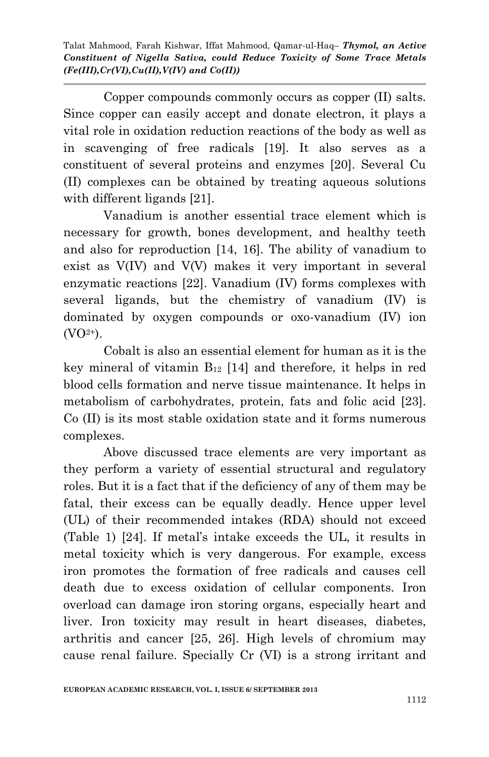Copper compounds commonly occurs as copper (II) salts. Since copper can easily accept and donate electron, it plays a vital role in oxidation reduction reactions of the body as well as in scavenging of free radicals [19]. It also serves as a constituent of several proteins and enzymes [20]. Several Cu (II) complexes can be obtained by treating aqueous solutions with different ligands [21].

Vanadium is another essential trace element which is necessary for growth, bones development, and healthy teeth and also for reproduction [14, 16]. The ability of vanadium to exist as V(IV) and V(V) makes it very important in several enzymatic reactions [22]. Vanadium (IV) forms complexes with several ligands, but the chemistry of vanadium (IV) is dominated by oxygen compounds or oxo-vanadium (IV) ion  $(VO<sup>2+</sup>)$ .

Cobalt is also an essential element for human as it is the key mineral of vitamin  $B_{12}$  [14] and therefore, it helps in red blood cells formation and nerve tissue maintenance. It helps in metabolism of carbohydrates, protein, fats and folic acid [23]. Co (II) is its most stable oxidation state and it forms numerous complexes.

Above discussed trace elements are very important as they perform a variety of essential structural and regulatory roles. But it is a fact that if the deficiency of any of them may be fatal, their excess can be equally deadly. Hence upper level (UL) of their recommended intakes (RDA) should not exceed (Table 1) [24]. If metal's intake exceeds the UL, it results in metal toxicity which is very dangerous. For example, excess iron promotes the formation of free radicals and causes cell death due to excess oxidation of cellular components. Iron overload can damage iron storing organs, especially heart and liver. Iron toxicity may result in heart diseases, diabetes, arthritis and cancer [25, 26]. High levels of chromium may cause renal failure. Specially Cr (VI) is a strong irritant and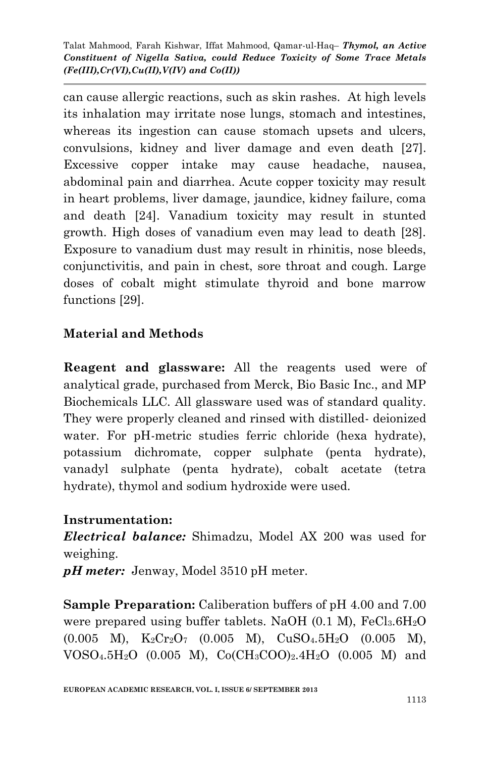can cause allergic reactions, such as skin rashes. At high levels its inhalation may irritate nose lungs, stomach and intestines, whereas its ingestion can cause stomach upsets and ulcers, convulsions, kidney and liver damage and even death [27]. Excessive copper intake may cause headache, nausea, abdominal pain and diarrhea. Acute copper toxicity may result in heart problems, liver damage, jaundice, kidney failure, coma and death [24]. Vanadium toxicity may result in stunted growth. High doses of vanadium even may lead to death [28]. Exposure to vanadium dust may result in rhinitis, nose bleeds, conjunctivitis, and pain in chest, sore throat and cough. Large doses of cobalt might stimulate thyroid and bone marrow functions [29].

## **Material and Methods**

**Reagent and glassware:** All the reagents used were of analytical grade, purchased from Merck, Bio Basic Inc., and MP Biochemicals LLC. All glassware used was of standard quality. They were properly cleaned and rinsed with distilled- deionized water. For pH-metric studies ferric chloride (hexa hydrate), potassium dichromate, copper sulphate (penta hydrate), vanadyl sulphate (penta hydrate), cobalt acetate (tetra hydrate), thymol and sodium hydroxide were used.

#### **Instrumentation:**

*Electrical balance:* Shimadzu, Model AX 200 was used for weighing.

*pH meter:* Jenway, Model 3510 pH meter.

**Sample Preparation:** Caliberation buffers of pH 4.00 and 7.00 were prepared using buffer tablets. NaOH  $(0.1 \text{ M})$ , FeCl<sub>3</sub>.6H<sub>2</sub>O  $(0.005 \ M)$ ,  $K_2Cr_2O_7$   $(0.005 \ M)$ ,  $CuSO_4.5H_2O$   $(0.005 \ M)$ ,  $VOSO_4.5H_2O$  (0.005 M),  $Co(CH_3COO)_2.4H_2O$  (0.005 M) and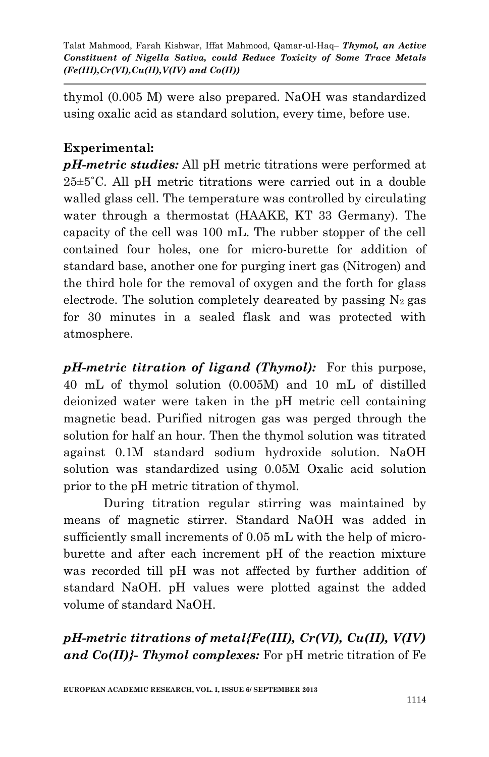thymol (0.005 M) were also prepared. NaOH was standardized using oxalic acid as standard solution, every time, before use.

### **Experimental:**

*pH-metric studies:* All pH metric titrations were performed at 25±5˚C. All pH metric titrations were carried out in a double walled glass cell. The temperature was controlled by circulating water through a thermostat (HAAKE, KT 33 Germany). The capacity of the cell was 100 mL. The rubber stopper of the cell contained four holes, one for micro-burette for addition of standard base, another one for purging inert gas (Nitrogen) and the third hole for the removal of oxygen and the forth for glass electrode. The solution completely deareated by passing  $N_2$  gas for 30 minutes in a sealed flask and was protected with atmosphere.

*pH-metric titration of ligand (Thymol):* For this purpose, 40 mL of thymol solution (0.005M) and 10 mL of distilled deionized water were taken in the pH metric cell containing magnetic bead. Purified nitrogen gas was perged through the solution for half an hour. Then the thymol solution was titrated against 0.1M standard sodium hydroxide solution. NaOH solution was standardized using 0.05M Oxalic acid solution prior to the pH metric titration of thymol.

During titration regular stirring was maintained by means of magnetic stirrer. Standard NaOH was added in sufficiently small increments of 0.05 mL with the help of microburette and after each increment pH of the reaction mixture was recorded till pH was not affected by further addition of standard NaOH. pH values were plotted against the added volume of standard NaOH.

*pH-metric titrations of metal{Fe(III), Cr(VI), Cu(II), V(IV) and Co(II)}- Thymol complexes:* For pH metric titration of Fe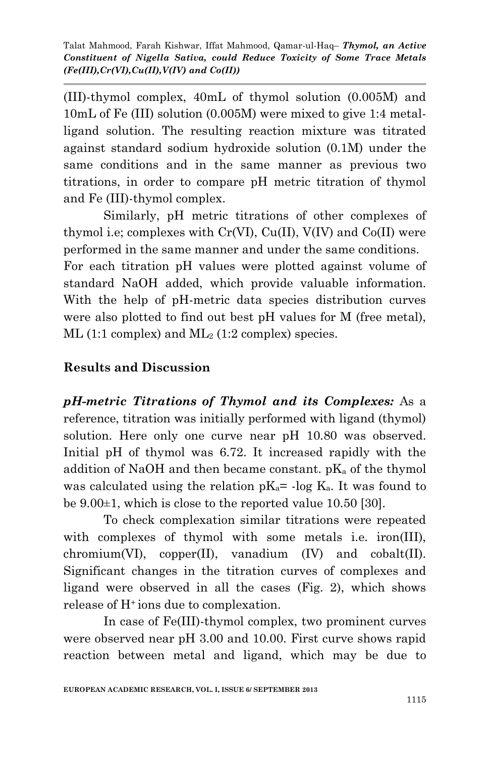(III)-thymol complex, 40mL of thymol solution (0.005M) and 10mL of Fe (III) solution (0.005M) were mixed to give 1:4 metalligand solution. The resulting reaction mixture was titrated against standard sodium hydroxide solution (0.1M) under the same conditions and in the same manner as previous two titrations, in order to compare pH metric titration of thymol and Fe (III)-thymol complex.

Similarly, pH metric titrations of other complexes of thymol i.e; complexes with  $Cr(VI)$ ,  $Cu(II)$ ,  $V(IV)$  and  $Co(II)$  were performed in the same manner and under the same conditions. For each titration pH values were plotted against volume of standard NaOH added, which provide valuable information. With the help of pH-metric data species distribution curves were also plotted to find out best pH values for M (free metal),  $ML$  (1:1 complex) and  $ML_2$  (1:2 complex) species.

#### **Results and Discussion**

*pH-metric Titrations of Thymol and its Complexes:* As a reference, titration was initially performed with ligand (thymol) solution. Here only one curve near pH 10.80 was observed. Initial pH of thymol was 6.72. It increased rapidly with the addition of NaOH and then became constant. pK<sup>a</sup> of the thymol was calculated using the relation  $pK_a$ = -log  $K_a$ . It was found to be 9.00±1, which is close to the reported value 10.50 [30].

To check complexation similar titrations were repeated with complexes of thymol with some metals i.e. iron(III),  $chromium(VI)$ ,  $copper(II)$ , vanadium  $(IV)$  and  $cobalt(II)$ . Significant changes in the titration curves of complexes and ligand were observed in all the cases (Fig. 2), which shows release of H+ ions due to complexation.

In case of Fe(III)-thymol complex, two prominent curves were observed near pH 3.00 and 10.00. First curve shows rapid reaction between metal and ligand, which may be due to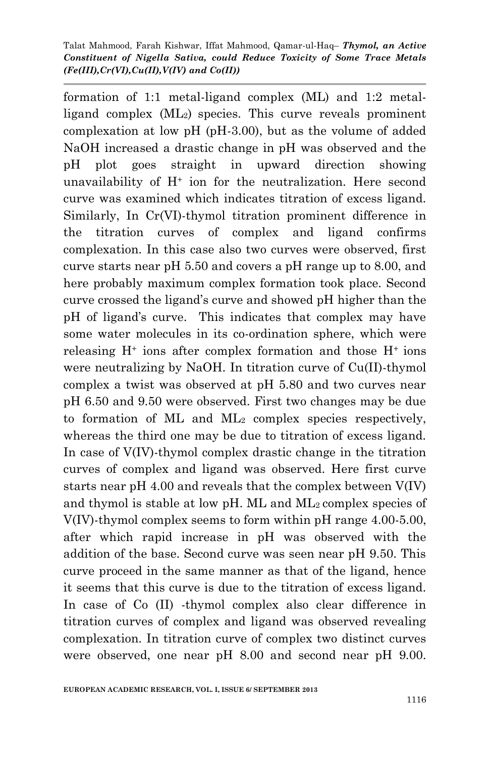formation of 1:1 metal-ligand complex (ML) and 1:2 metalligand complex (ML2) species. This curve reveals prominent complexation at low pH (pH-3.00), but as the volume of added NaOH increased a drastic change in pH was observed and the pH plot goes straight in upward direction showing unavailability of  $H^+$  ion for the neutralization. Here second curve was examined which indicates titration of excess ligand. Similarly, In Cr(VI)-thymol titration prominent difference in the titration curves of complex and ligand confirms complexation. In this case also two curves were observed, first curve starts near pH 5.50 and covers a pH range up to 8.00, and here probably maximum complex formation took place. Second curve crossed the ligand's curve and showed pH higher than the pH of ligand's curve. This indicates that complex may have some water molecules in its co-ordination sphere, which were releasing  $H^+$  ions after complex formation and those  $H^+$  ions were neutralizing by NaOH. In titration curve of Cu(II)-thymol complex a twist was observed at pH 5.80 and two curves near pH 6.50 and 9.50 were observed. First two changes may be due to formation of ML and  $ML_2$  complex species respectively, whereas the third one may be due to titration of excess ligand. In case of V(IV)-thymol complex drastic change in the titration curves of complex and ligand was observed. Here first curve starts near pH 4.00 and reveals that the complex between V(IV) and thymol is stable at low pH. ML and ML2 complex species of V(IV)-thymol complex seems to form within pH range 4.00-5.00, after which rapid increase in pH was observed with the addition of the base. Second curve was seen near pH 9.50. This curve proceed in the same manner as that of the ligand, hence it seems that this curve is due to the titration of excess ligand. In case of Co (II) -thymol complex also clear difference in titration curves of complex and ligand was observed revealing complexation. In titration curve of complex two distinct curves were observed, one near pH 8.00 and second near pH 9.00.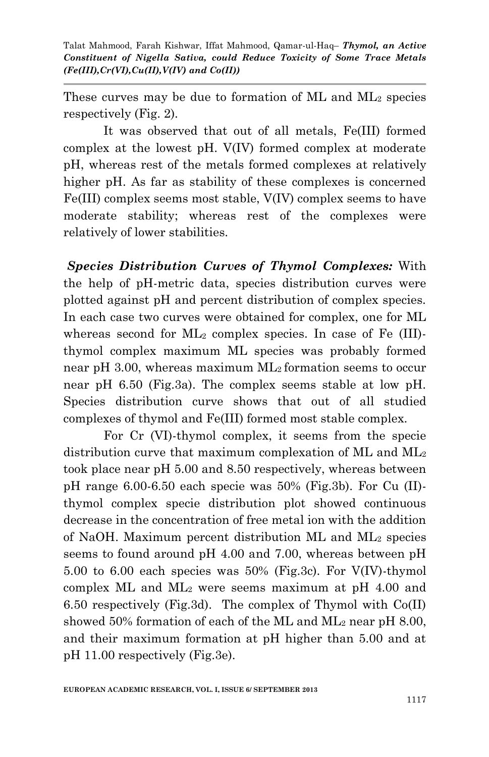These curves may be due to formation of ML and ML<sup>2</sup> species respectively (Fig. 2).

It was observed that out of all metals, Fe(III) formed complex at the lowest pH. V(IV) formed complex at moderate pH, whereas rest of the metals formed complexes at relatively higher pH. As far as stability of these complexes is concerned Fe(III) complex seems most stable, V(IV) complex seems to have moderate stability; whereas rest of the complexes were relatively of lower stabilities.

*Species Distribution Curves of Thymol Complexes:* With the help of pH-metric data, species distribution curves were plotted against pH and percent distribution of complex species. In each case two curves were obtained for complex, one for ML whereas second for ML<sup>2</sup> complex species. In case of Fe (III) thymol complex maximum ML species was probably formed near pH 3.00, whereas maximum ML<sub>2</sub> formation seems to occur near pH 6.50 (Fig.3a). The complex seems stable at low pH. Species distribution curve shows that out of all studied complexes of thymol and Fe(III) formed most stable complex.

For Cr (VI)-thymol complex, it seems from the specie distribution curve that maximum complexation of ML and ML<sup>2</sup> took place near pH 5.00 and 8.50 respectively, whereas between pH range 6.00-6.50 each specie was 50% (Fig.3b). For Cu (II) thymol complex specie distribution plot showed continuous decrease in the concentration of free metal ion with the addition of NaOH. Maximum percent distribution ML and ML<sup>2</sup> species seems to found around pH 4.00 and 7.00, whereas between pH 5.00 to 6.00 each species was 50% (Fig.3c). For V(IV)-thymol complex ML and ML<sup>2</sup> were seems maximum at pH 4.00 and 6.50 respectively (Fig.3d). The complex of Thymol with Co(II) showed 50% formation of each of the ML and ML<sup>2</sup> near pH 8.00, and their maximum formation at pH higher than 5.00 and at pH 11.00 respectively (Fig.3e).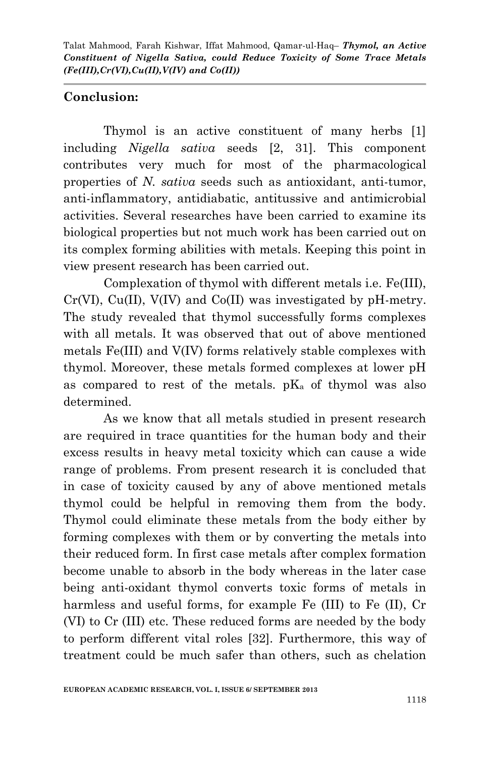## **Conclusion:**

Thymol is an active constituent of many herbs [1] including *Nigella sativa* seeds [2, 31]. This component contributes very much for most of the pharmacological properties of *N. sativa* seeds such as antioxidant, anti-tumor, anti-inflammatory, antidiabatic, antitussive and antimicrobial activities. Several researches have been carried to examine its biological properties but not much work has been carried out on its complex forming abilities with metals. Keeping this point in view present research has been carried out.

Complexation of thymol with different metals i.e. Fe(III),  $Cr(VI)$ ,  $Cu(II)$ ,  $V(IV)$  and  $Co(II)$  was investigated by pH-metry. The study revealed that thymol successfully forms complexes with all metals. It was observed that out of above mentioned metals Fe(III) and V(IV) forms relatively stable complexes with thymol. Moreover, these metals formed complexes at lower pH as compared to rest of the metals.  $pK_a$  of thymol was also determined.

As we know that all metals studied in present research are required in trace quantities for the human body and their excess results in heavy metal toxicity which can cause a wide range of problems. From present research it is concluded that in case of toxicity caused by any of above mentioned metals thymol could be helpful in removing them from the body. Thymol could eliminate these metals from the body either by forming complexes with them or by converting the metals into their reduced form. In first case metals after complex formation become unable to absorb in the body whereas in the later case being anti-oxidant thymol converts toxic forms of metals in harmless and useful forms, for example Fe (III) to Fe (II), Cr (VI) to Cr (III) etc. These reduced forms are needed by the body to perform different vital roles [32]. Furthermore, this way of treatment could be much safer than others, such as chelation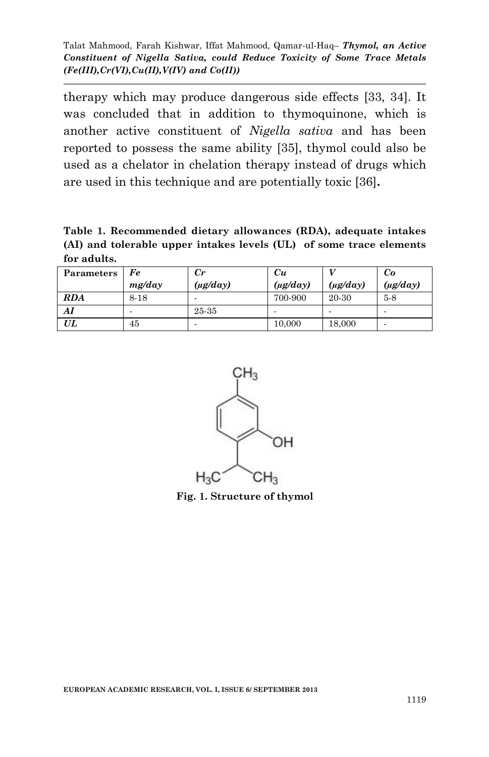therapy which may produce dangerous side effects [33, 34]. It was concluded that in addition to thymoquinone, which is another active constituent of *Nigella sativa* and has been reported to possess the same ability [35], thymol could also be used as a chelator in chelation therapy instead of drugs which are used in this technique and are potentially toxic [36]**.**

**Table 1. Recommended dietary allowances (RDA), adequate intakes (AI) and tolerable upper intakes levels (UL) of some trace elements for adults.**

| Parameters | Fe     | $_{Cr}$       | Cи            |               | Co            |
|------------|--------|---------------|---------------|---------------|---------------|
|            | mg/day | $(\mu g/day)$ | $(\mu g/day)$ | $(\mu g/day)$ | $(\mu g/day)$ |
| <b>RDA</b> | 8-18   |               | 700-900       | 20-30         | $5-8$         |
| AI         |        | 25-35         |               | -             |               |
| UL         | 45     |               | 10,000        | 18,000        |               |



**Fig. 1. Structure of thymol**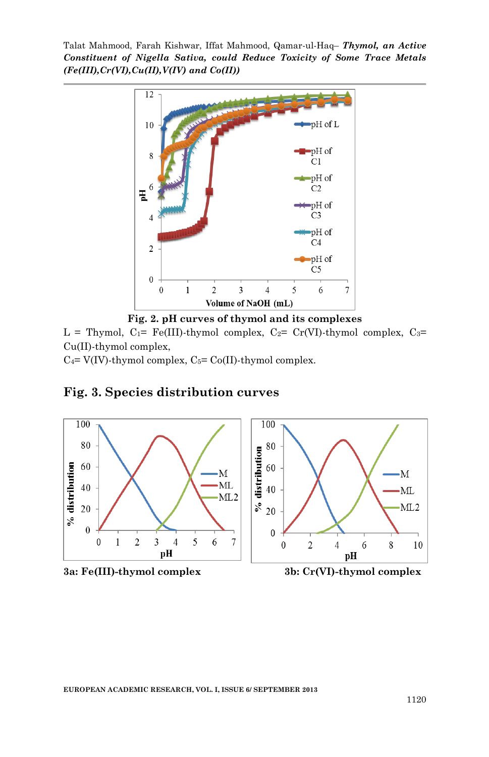

**Fig. 2. pH curves of thymol and its complexes**

L = Thymol,  $C_1$ = Fe(III)-thymol complex,  $C_2$ = Cr(VI)-thymol complex,  $C_3$ = Cu(II)-thymol complex,

 $C_4$ = V(IV)-thymol complex,  $C_5$ = Co(II)-thymol complex.



#### **Fig. 3. Species distribution curves**



10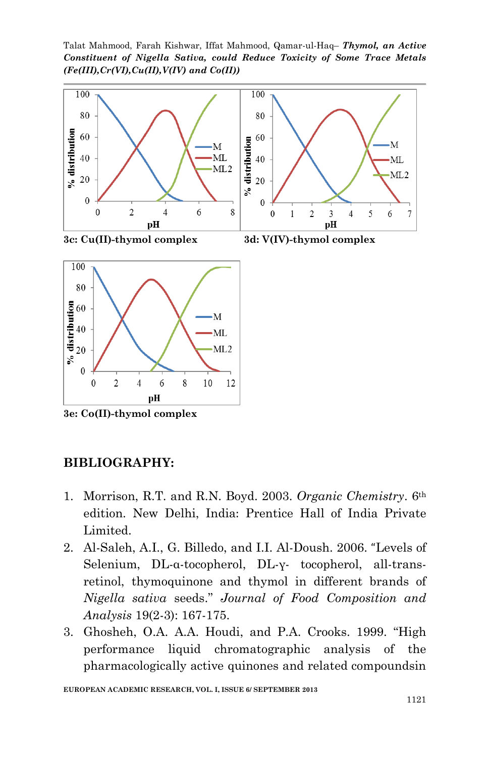Talat Mahmood, Farah Kishwar, Iffat Mahmood, Qamar-ul-Haq– *Thymol, an Active Constituent of Nigella Sativa, could Reduce Toxicity of Some Trace Metals (Fe(III),Cr(VI),Cu(II),V(IV) and Co(II))*





**3e: Co(II)-thymol complex**

#### **BIBLIOGRAPHY:**

- 1. Morrison, R.T. and R.N. Boyd. 2003. *Organic Chemistry*. 6th edition. New Delhi, India: Prentice Hall of India Private Limited.
- 2. Al-Saleh, A.I., G. Billedo, and I.I. Al-Doush. 2006. "Levels of Selenium, DL-α-tocopherol, DL-γ- tocopherol, all-transretinol, thymoquinone and thymol in different brands of *Nigella sativa* seeds." *Journal of Food Composition and Analysis* 19(2-3): 167-175.
- 3. Ghosheh, O.A. A.A. Houdi, and P.A. Crooks. 1999. "High performance liquid chromatographic analysis of the pharmacologically active quinones and related compoundsin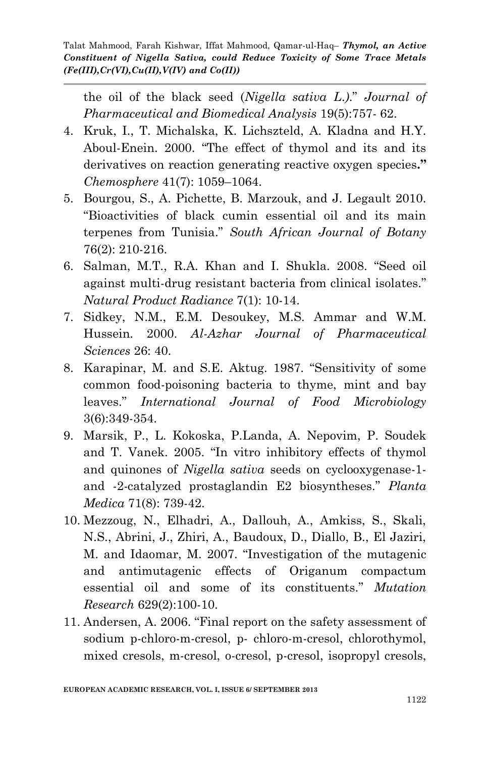the oil of the black seed (*Nigella sativa L*.*)*." *Journal of Pharmaceutical and Biomedical Analysis* 19(5):757- 62.

- 4. Kruk, I., T. Michalska, K. Lichszteld, A. Kladna and H.Y. Aboul-Enein. 2000. "The effect of thymol and its and its derivatives on reaction generating reactive oxygen species**."** *Chemosphere* 41(7): 1059–1064.
- 5. Bourgou, S., A. Pichette, B. Marzouk, and J. Legault 2010. "Bioactivities of black cumin essential oil and its main terpenes from Tunisia." *South African Journal of Botany* 76(2): 210-216.
- 6. Salman, M.T., R.A. Khan and I. Shukla. 2008. "Seed oil against multi-drug resistant bacteria from clinical isolates." *Natural Product Radiance* 7(1): 10-14.
- 7. Sidkey, N.M., E.M. Desoukey, M.S. Ammar and W.M. Hussein. 2000. *Al-Azhar Journal of Pharmaceutical Sciences* 26: 40.
- 8. Karapinar, M. and S.E. Aktug. 1987. "Sensitivity of some common food-poisoning bacteria to thyme, mint and bay leaves." *International Journal of Food Microbiology* 3(6):349-354.
- 9. Marsik, P., L. Kokoska, P.Landa, A. Nepovim, P. Soudek and T. Vanek. 2005. "In vitro inhibitory effects of thymol and quinones of *Nigella sativa* seeds on cyclooxygenase-1 and -2-catalyzed prostaglandin E2 biosyntheses." *Planta Medica* 71(8): 739-42.
- 10. Mezzoug, N., Elhadri, A., Dallouh, A., Amkiss, S., Skali, N.S., Abrini, J., Zhiri, A., Baudoux, D., Diallo, B., El Jaziri, M. and Idaomar, M. 2007. "Investigation of the mutagenic and antimutagenic effects of Origanum compactum essential oil and some of its constituents." *Mutation Research* 629(2):100-10.
- 11. [Andersen, A.](http://www.ncbi.nlm.nih.gov/pubmed?term=Andersen%20A%5BAuthor%5D&cauthor=true&cauthor_uid=16835130) 2006. "Final report on the safety assessment of sodium p-chloro-m-cresol, p- chloro-m-cresol, chlorothymol, mixed cresols, m-cresol, o-cresol, p-cresol, isopropyl cresols,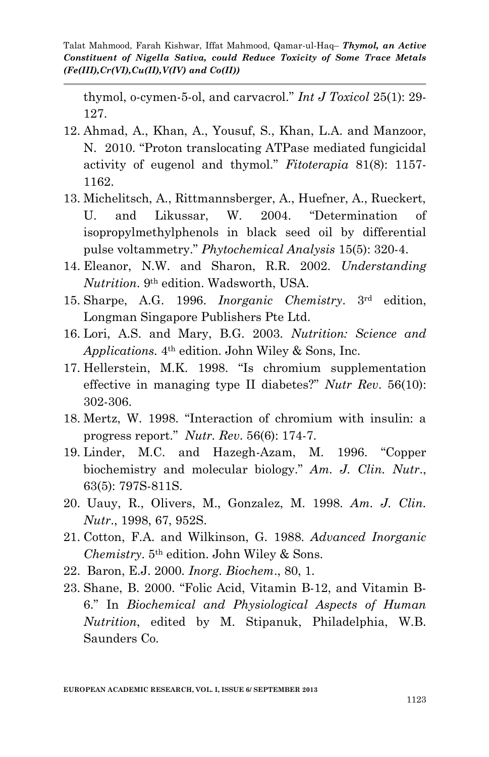thymol, o-cymen-5-ol, and carvacrol." *Int J Toxicol* 25(1): 29- 127.

- 12. Ahmad, A., Khan, A., Yousuf, S., Khan, L.A. and Manzoor, N. 2010. "Proton translocating ATPase mediated fungicidal activity of eugenol and thymol." *Fitoterapia* 81(8): 1157- 1162.
- 13. Michelitsch, A., Rittmannsberger, A., Huefner, A., Rueckert, U. and Likussar, W. 2004. "Determination of isopropylmethylphenols in black seed oil by differential pulse voltammetry." *Phytochemical Analysis* 15(5): 320-4.
- 14. Eleanor, N.W. and Sharon, R.R. 2002. *Understanding Nutrition*. 9th edition. Wadsworth, USA.
- 15. Sharpe, A.G. 1996. *Inorganic Chemistry*. 3rd edition, Longman Singapore Publishers Pte Ltd.
- 16. Lori, A.S. and Mary, B.G. 2003. *Nutrition: Science and Applications.* 4th edition. John Wiley & Sons, Inc.
- 17. Hellerstein, M.K. 1998. "Is chromium supplementation effective in managing type II diabetes?" *Nutr Rev*. 56(10): 302-306.
- 18. Mertz, W. 1998. "Interaction of chromium with insulin: a progress report." *Nutr. Rev*. 56(6): 174-7.
- 19. Linder, M.C. and Hazegh-Azam, M. 1996. "Copper biochemistry and molecular biology." *Am. J. Clin. Nutr*., 63(5): 797S-811S.
- 20. Uauy, R., Olivers, M., Gonzalez, M. 1998. *Am. J. Clin. Nutr*., 1998, 67, 952S.
- 21. Cotton, F.A. and Wilkinson, G. 1988. *Advanced Inorganic Chemistry*. 5th edition. John Wiley & Sons.
- 22. Baron, E.J. 2000. *Inorg. Biochem*., 80, 1.
- 23. Shane, B. 2000. "Folic Acid, Vitamin B-12, and Vitamin B-6." In *Biochemical and Physiological Aspects of Human Nutrition*, edited by M. Stipanuk, Philadelphia, W.B. Saunders Co.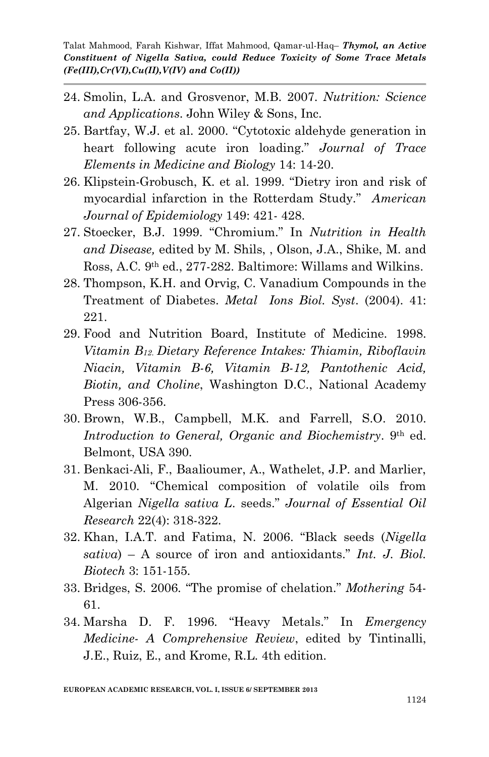- 24. Smolin, L.A. and Grosvenor, M.B. 2007. *Nutrition: Science and Applications*. John Wiley & Sons, Inc.
- 25. Bartfay, W.J. et al. 2000. "Cytotoxic aldehyde generation in heart following acute iron loading." *Journal of Trace Elements in Medicine and Biology* 14: 14-20.
- 26. Klipstein-Grobusch, K. et al. 1999. "Dietry iron and risk of myocardial infarction in the Rotterdam Study." *American Journal of Epidemiology* 149: 421- 428.
- 27. Stoecker, B.J. 1999. "Chromium." In *Nutrition in Health and Disease,* edited by M. Shils, , Olson, J.A., Shike, M. and Ross, A.C. 9th ed., 277-282. Baltimore: Willams and Wilkins.
- 28. Thompson, K.H. and Orvig, C. Vanadium Compounds in the Treatment of Diabetes. *Metal Ions Biol. Syst*. (2004). 41: 221.
- 29. Food and Nutrition Board, Institute of Medicine. 1998. *Vitamin B12*. *Dietary Reference Intakes: Thiamin, Riboflavin Niacin, Vitamin B-6, Vitamin B-12, Pantothenic Acid, Biotin, and Choline*, Washington D.C., National Academy Press 306-356.
- 30. Brown, W.B., Campbell, M.K. and Farrell, S.O. 2010. *Introduction to General, Organic and Biochemistry*. 9th ed. Belmont, USA 390.
- 31. Benkaci-Ali, F., Baalioumer, A., Wathelet, J.P. and Marlier, M. 2010. "Chemical composition of volatile oils from Algerian *Nigella sativa L*. seeds." *Journal of Essential Oil Research* 22(4): 318-322.
- 32. Khan, I.A.T. and Fatima, N. 2006. "Black seeds (*Nigella sativa*) – A source of iron and antioxidants." *Int. J. Biol. Biotech* 3: 151-155.
- 33. Bridges, S. 2006. "The promise of chelation." *Mothering* 54- 61.
- 34. Marsha D. F. 1996. "Heavy Metals." In *Emergency Medicine- A Comprehensive Review*, edited by Tintinalli, J.E., Ruiz, E., and Krome, R.L. 4th edition.